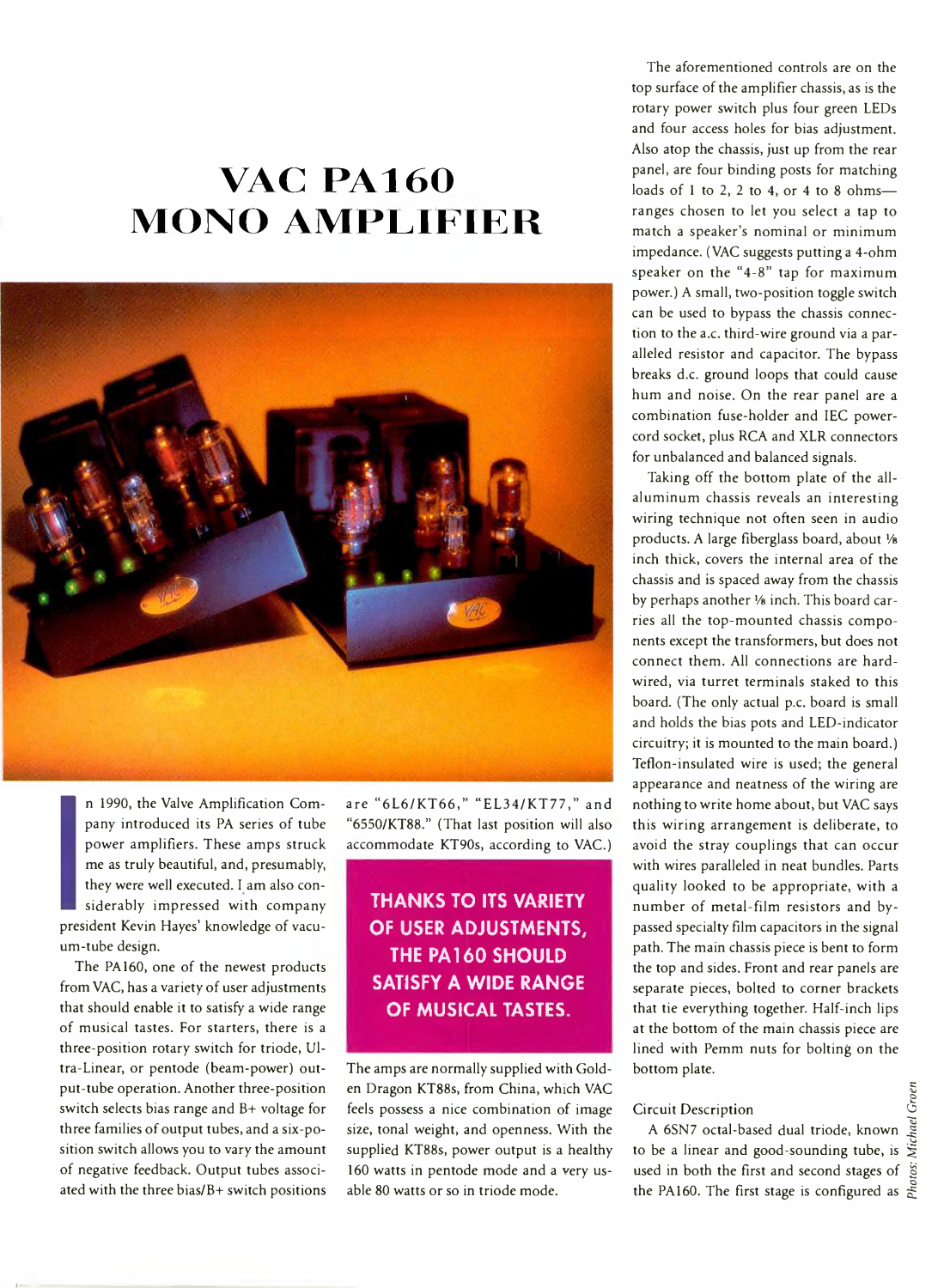# **VAC PA160 MONO AMPLIFIER**



n 1<br>pa1<br>po<sup>1</sup><br>me<br>the<br>sid<br>preside<br>um-tub n 1990, the Valve Amplification Company introduced its PA series of tube power amplifiers. These amps struck me as truly beautiful, and, presumably, they were well executed. I am also considerably impressed with company president Kevin Hayes' knowledge of vacuum-tube design.

The PA160, one of the newest products from VAC, has a variety of user adjustments that should enable it to satisfy a wide range of musical tastes. For starters, there is a three-position rotary switch for triode, Ultra-Linear, or pentode (beam-power) output-tube operation. Another three-position switch selects bias range and B+ voltage for three families of output tubes, and a six-position switch allows you to vary the amount of negative feedback. Output tubes associated with the three bias/B+ switch positions are "6L6/KT66," "EL34/KT77," and "6550/KT88." (That last position will also accommodate KT90s, according to VAC.)

## **THANKS TO ITS VARIETY OF USER ADJUSTMENTS, THE PA160 SHOULD SATISFY A WIDE RANGE OF MUSICAL TASTES.**

The amps are normally supplied with Golden Dragon KT88s, from China, which VAC feels possess a nice combination of image size, tonal weight, and openness. With the supplied KT88s, power output is a healthy 160 watts in pentode mode and a very usable 80 watts or so in triode mode.

The aforementioned controls are on the top surface of the amplifier chassis, as is the rotary power switch plus four green LEDs and four access holes for bias adjustment. Also atop the chassis, just up from the rear panel, are four binding posts for matching loads of 1 to 2, 2 to 4, or 4 to 8 ohms ranges chosen to let you select a tap to match a speaker's nominal or minimum impedance. (VAC suggests putting a 4-ohm speaker on the "4-8" tap for maximum power.) A small, two-position toggle switch can be used to bypass the chassis connection to the a.c. third-wire ground via a paralleled resistor and capacitor. The bypass breaks d.c. ground loops that could cause hum and noise. On the rear panel are a combination fuse-holder and IEC powercord socket, plus RCA and XLR connectors for unbalanced and balanced signals.

Taking off the bottom plate of the allaluminum chassis reveals an interesting wiring technique not often seen in audio products. A large fiberglass board, about *Vs* inch thick, covers the internal area of the chassis and is spaced away from the chassis by perhaps another *Vs* inch. This board carries all the top-mounted chassis components except the transformers, but does not connect them. All connections are hardwired, via turret terminals staked to this board. (The only actual p.c. board is small and holds the bias pots and LED-indicator circuitry; it is mounted to the main board.) Teflon-insulated wire is used; the general appearance and neatness of the wiring are nothing to write home about, but VAC says this wiring arrangement is deliberate, to avoid the stray couplings that can occur with wires paralleled in neat bundles. Parts quality looked to be appropriate, with a num ber of metal-film resistors and bypassed specialty film capacitors in the signal path. The main chassis piece is bent to form the top and sides. Front and rear panels are separate pieces, bolted to corner brackets that tie everything together. Half-inch lips at the bottom of the main chassis piece are lined with Pemm nuts for bolting on the bottom plate.

### Circuit Description

A 6SN7 octal-based dual triode, known to be a linear and good-sounding tube, is used in both the first and second stages of the PA160. The first stage is configured as  $\frac{8}{6}$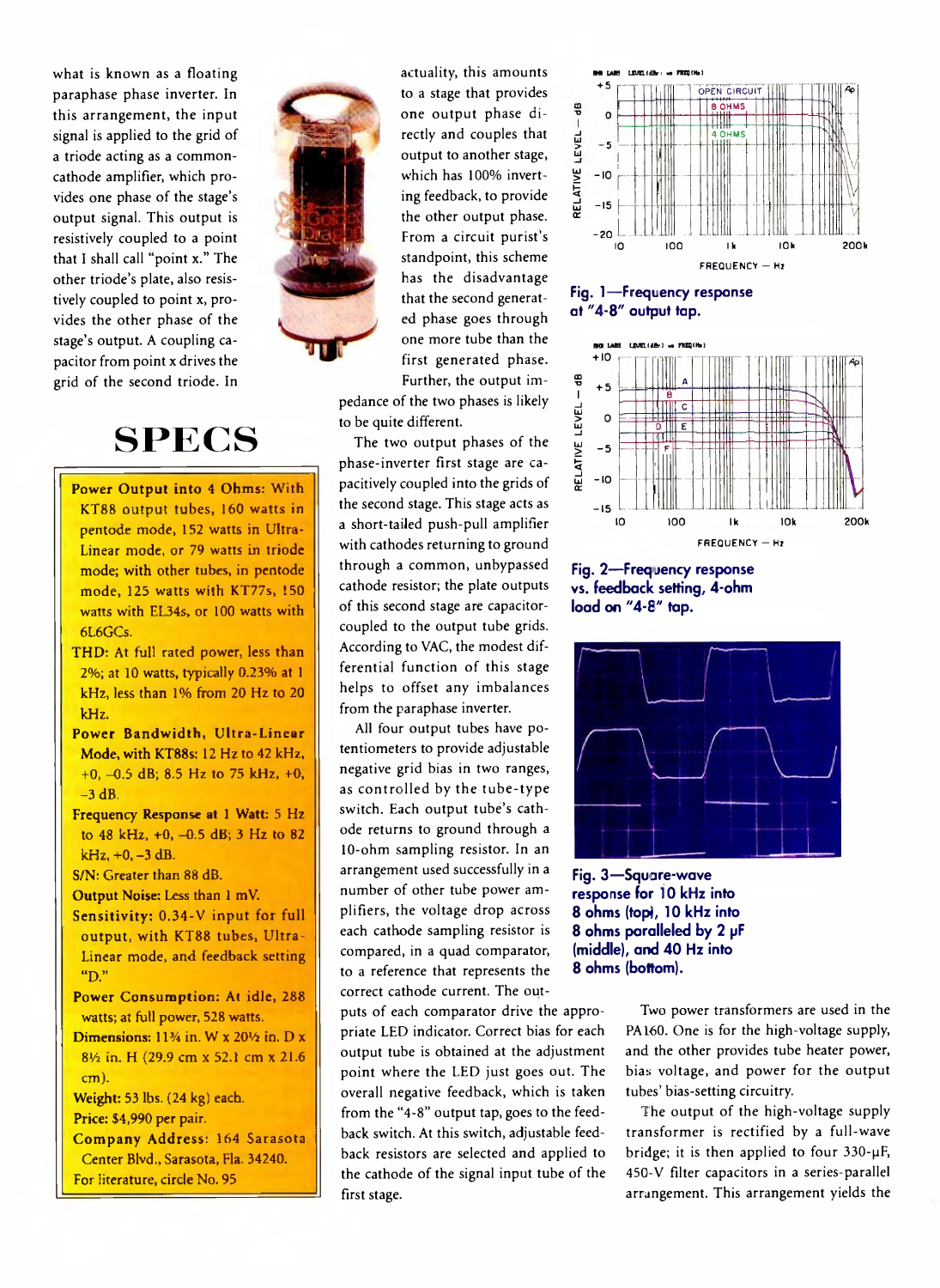what is known as a floating paraphase phase inverter. In this arrangement, the input signal is applied to the grid of a triode acting as a commoncathode amplifier, which provides one phase of the stage's output signal. This output is resistively coupled to a point that I shall call "point x." The other triode's plate, also resistively coupled to point x, provides the other phase of the stage's output. A coupling capacitor from point x drives the grid of the second triode. In



# **S P E C S**

- Power Output into 4 Ohms: With KT88 output tubes, 160 watts in pentode mode, 152 watts in Ultra-Linear mode, or 79 watts in triode mode; with other tubes, in pentode mode, 125 watts with KT77s, 150 watts with EL34s, or 100 watts with 6L6GCS.
- THD: At full rated power, less than 2%; at 10 watts, typically 0.23% at 1 kHz, less than 1% from 20 Hz to 20 kHz.
- Power Bandwidth, Ultra-Linear Mode, with KT88s: 12 Hz to 42 kHz, +0, -0.5 dB; 8.5 Hz to 75 kHz, +0,  $-3$  dB.
- Frequency Response at 1 Watt: 5 Hz to 48 kHz, +0, -0.5 dB; 3 Hz to 82  $kHz$ , +0, -3 dB.

S/N: Greater than 88 dB.

- Output Noise: Less than 1 mV.
- Sensitivity: 0,34-V input for full output, with KT88 tubes, Ultra-Linear mode, and feedback setting "D."
- Power Consumption: At idle, 288 watts; at full power, 528 watts.
- Dimensions:  $11\frac{3}{4}$  in. W x  $20\frac{1}{2}$  in. D x 814 in. H (29.9 cm x 52.1 cm x 21.6 cm).

Weight: 53 lbs. (24 kg) each. Price: \$4,990 per pair.

Company Address: 164 Sarasota Center Blvd,, Sarasota, Fla. 34240. For literature, circle No. 95

actuality, this amounts to a stage that provides one output phase directly and couples that output to another stage, which has 100% inverting feedback, to provide the other output phase. From a circuit purist's standpoint, this scheme has the disadvantage that the second generated phase goes through one more tube than the first generated phase. Further, the output im-

pedance of the two phases is likely to be quite different.

The two output phases of the phase-inverter first stage are capacitively coupled into the grids of the second stage. This stage acts as a short-tailed push-pull amplifier with cathodes returning to ground through a common, unbypassed cathode resistor; the plate outputs of this second stage are capacitorcoupled to the output tube grids. According to VAC, the modest differential function of this stage helps to offset any imbalances from the paraphase inverter.

All four output tubes have potentiometers to provide adjustable negative grid bias in two ranges, as controlled by the tube-type switch. Each output tube's cathode returns to ground through a 10-ohm sampling resistor. In an arrangement used successfully in a number of other tube power amplifiers, the voltage drop across each cathode sampling resistor is compared, in a quad comparator, to a reference that represents the correct cathode current. The out-

puts of each comparator drive the appropriate LED indicator. Correct bias for each output tube is obtained at the adjustment point where the LED just goes out. The overall negative feedback, which is taken from the "4-8" output tap, goes to the feedback switch. At this switch, adjustable feedback resistors are selected and applied to the cathode of the signal input tube of the first stage.



**Fig. 1— Frequency response** at "4-8" output tap.



**Fig. 2— Frequency response vs. feedback setting, 4-ohm load on "4 -8 " tap.**



**Fig. 3 — Square-wave response for 10 kHz into 8 ohms (top), 10 kHz into 8 ohms paralleled by 2 pF** (middle), and 40 Hz into **8 ohms (bottom).**

Two power transformers are used in the PA 160. One is for the high-voltage supply, and the other provides tube heater power, bias voltage, and power for the output tubes' bias-setting circuitry.

The output of the high-voltage supply transformer is rectified by a full-wave bridge; it is then applied to four  $330-\mu F$ , 45G-V filter capacitors in a series-parallel arrangement. This arrangement yields the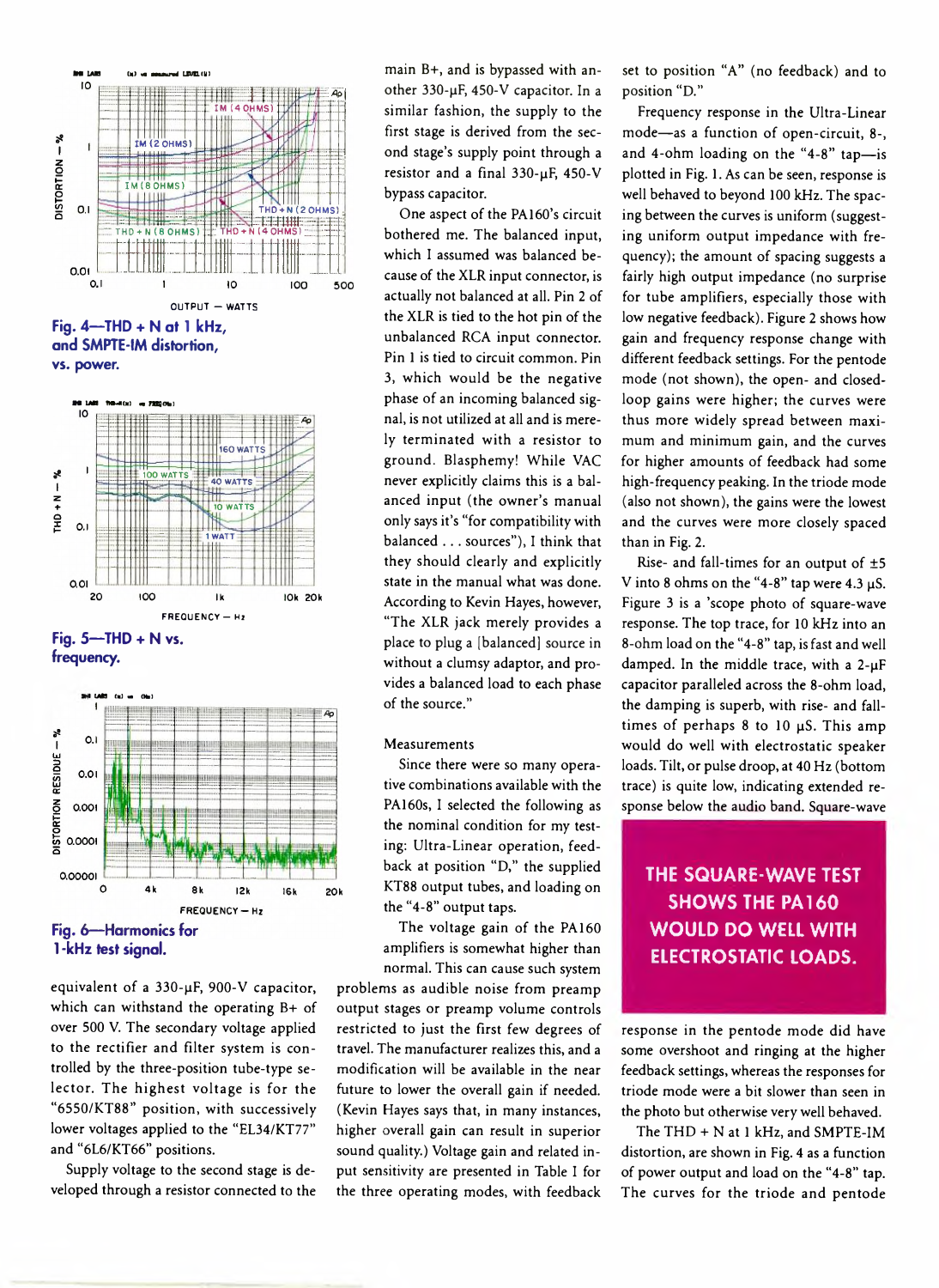



**Fig. 5— THD + N vs. frequency.**



equivalent of a  $330$ - $\mu$ F, 900-V capacitor, which can withstand the operating B+ of over 500 V. The secondary voltage applied to the rectifier and filter system is controlled by the three-position tube-type selector. The highest voltage is for the "6550/KT88" position, with successively lower voltages applied to the "EL34/KT77" and "6L6/KT66" positions.

Supply voltage to the second stage is developed through a resistor connected to the

main B+, and is bypassed with another 330-µF, 450-V capacitor. In a similar fashion, the supply to the first stage is derived from the second stage's supply point through a resistor and a final 330-uF, 450-V bypass capacitor.

One aspect of the PA160's circuit bothered me. The balanced input, which I assumed was balanced because of the XLR input connector, is actually not balanced at all. Pin 2 of the XLR is tied to the hot pin of the unbalanced RCA input connector. Pin 1 is tied to circuit common. Pin 3, which would be the negative phase of an incoming balanced signal, is not utilized at all and is merely term inated with a resistor to ground. Blasphemy! While VAC never explicitly claims this is a balanced input (the owner's manual only says it's "for compatibility with balanced . . . sources"), I think that they should clearly and explicitly state in the manual what was done. According to Kevin Hayes, however, "The XLR jack merely provides a place to plug a [balanced] source in without a clumsy adaptor, and provides a balanced load to each phase of the source."

#### Measurements

Since there were so many operative combinations available with the PA160s, I selected the following as the nominal condition for my testing: Ultra-Linear operation, feedback at position "D," the supplied KT88 output tubes, and loading on the "4-8" output taps.

The voltage gain of the PA160 amplifiers is somewhat higher than normal. This can cause such system

problems as audible noise from preamp output stages or preamp volume controls restricted to just the first few degrees of travel. The manufacturer realizes this, and a modification will be available in the near future to lower the overall gain if needed. (Kevin Hayes says that, in many instances, higher overall gain can result in superior sound quality.) Voltage gain and related input sensitivity are presented in Table I for the three operating modes, with feedback set to position "A" (no feedback) and to position "D."

Frequency response in the Ultra-Linear mode— as a function of open-circuit, 8-, and 4-ohm loading on the "4-8" tap-is plotted in Fig. 1. As can be seen, response is well behaved to beyond 100 kHz. The spacing between the curves is uniform (suggesting uniform output impedance with frequency); the amount of spacing suggests a fairly high output impedance (no surprise for tube amplifiers, especially those with low negative feedback). Figure 2 shows how gain and frequency response change with different feedback settings. For the pentode mode (not shown), the open- and closedloop gains were higher; the curves were thus more widely spread between maximum and minimum gain, and the curves for higher amounts of feedback had some high-frequency peaking. In the triode mode (also not shown), the gains were the lowest and the curves were more closely spaced than in Fig. 2.

Rise- and fall-times for an output of ±5 V into 8 ohms on the "4-8" tap were 4.3  $\mu$ S. Figure 3 is a 'scope photo of square-wave response. The top trace, for 10 kHz into an 8-ohm load on the "4-8" tap, is fast and well damped. In the middle trace, with a  $2-\mu F$ capacitor paralleled across the 8-ohm load, the damping is superb, with rise- and falltimes of perhaps  $8$  to 10  $\mu$ S. This amp would do well with electrostatic speaker loads. Tilt, or pulse droop, at 40 Hz (bottom trace) is quite low, indicating extended response below the audio band. Square-wave

## **THE SQUARE-WAVE TEST SHOWS THE PA 160 WOULD DO WELL WITH ELECTROSTATIC LOADS.**

response in the pentode mode did have some overshoot and ringing at the higher feedback settings, whereas the responses for triode mode were a bit slower than seen in the photo but otherwise very well behaved.

The THD + N at 1 kHz, and SMPTE-IM distortion, are shown in Fig. 4 as a function of power output and load on the "4-8" tap. The curves for the triode and pentode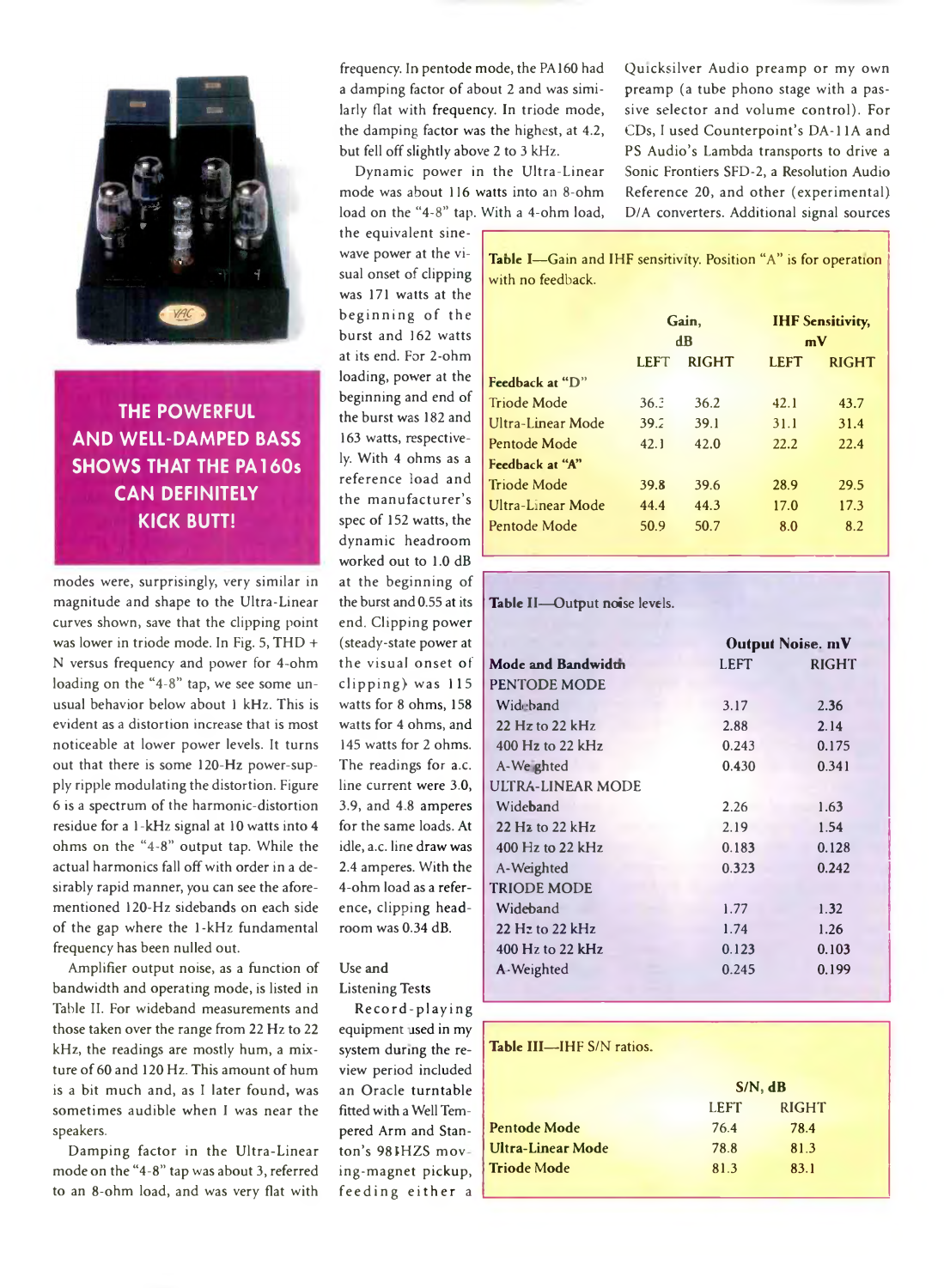

**THE POWERFUL AND WELL-DAMPED BASS SHOWS THAT THE PA 160s CAN DEFINITELY KICK BUTT!**

modes were, surprisingly, very similar in magnitude and shape to the Ultra-Linear curves shown, save that the clipping point was lower in triode mode. In Fig. 5, THD + N versus frequency and power for 4-ohm loading on the "4-8" tap, we see some unusual behavior below about 1 kHz. This is evident as a distortion increase that is most noticeable at lower power levels. It turns out that there is some 120-Hz power-supply ripple modulating the distortion. Figure 6 is a spectrum of the harmonic-distortion residue for a 1-kHz signal at 10 watts into 4 ohms on the "4-8" output tap. While the actual harmonics fall off with order in a desirably rapid manner, you can see the aforementioned 120-Hz sidebands on each side of the gap where the 1-kHz fundamental frequency has been nulled out.

Amplifier output noise, as a function of bandwidth and operating mode, is listed in Table II. For wideband measurements and those taken over the range from 22 Hz to 22 kHz, the readings are mostly hum, a mixture of 60 and 120 Hz. This amount of hum is a bit much and, as I later found, was sometimes audible when I was near the speakers.

Damping factor in the Ultra-Linear mode on the "4-8" tap was about 3, referred to an 8-ohm load, and was very flat with

frequency. In pentode mode, the PA160 had a damping factor of about 2 and was similarly flat with frequency. In triode mode, the damping factor was the highest, at 4.2, but fell off slightly above 2 to 3 kHz.

Dynamic power in the Ultra-Linear mode was about 116 watts into an 8-ohm load on the "4-8" tap. With a 4-ohm load,

the equivalent sinewave power at the visual onset of clipping was 171 watts at the beginning of the burst and 162 watts at its end. For 2-ohm loading, power at the beginning and end of the burst was 182 and 163 watts, respectively. With 4 ohms as a reference load and the manufacturer's spec of 152 watts, the dynamic headroom worked out to 1.0 dB at the beginning of the burst and 0.55 at its end. Clipping power (steady-state power at the visual onset of  $clipping)$  was  $115$ watts for 8 ohms, 158 watts for 4 ohms, and 145 watts for 2 ohms. The readings for a.c. line current were 3.0, 3.9, and 4.8 amperes for the same loads. At idle, a.c. line draw was 2.4 amperes. With the 4-ohm load as a reference, clipping headroom was 0.34 dB.

### Use and Listening Tests

Record-playing equipment used in my system during the review period included an Oracle turntable fitted with a Well Tempered Arm and Stanton's 98IHZS mov ing-m agnet pickup, feeding either a Quicksilver Audio preamp or my own preamp (a tube phono stage with a passive selector and volume control). For CDs, I used Counterpoint's DA-11A and PS Audio's Lambda transports to drive a Sonic Frontiers SFD-2, a Resolution Audio Reference 20, and other (experimental) D/A converters. Additional signal sources

**TaDle I**—Gain and IHF sensitivity. Position "A" is for operation with no feedback.

|                    | Gain.<br>$\mathbf{d}$ <b>B</b> |              | <b>IHF Sensitivity,</b><br>mV |              |
|--------------------|--------------------------------|--------------|-------------------------------|--------------|
|                    | <b>LEFT</b>                    | <b>RIGHT</b> | <b>LEFT</b>                   | <b>RIGHT</b> |
| Feedback at "D"    |                                |              |                               |              |
| Triode Mode        | 36.3                           | 36.2         | 42.1                          | 43.7         |
| Ultra-Linear Mode  | 39.2                           | 39.1         | 31.1                          | 31.4         |
| Pentode Mode       | 42.1                           | 42.0         | 22.2                          | 22.4         |
| Feedback at "A"    |                                |              |                               |              |
| <b>Triode Mode</b> | 39.8                           | 39.6         | 28.9                          | 29.5         |
| Ultra-Linear Mode  | 44.4                           | 44.3         | 17.0                          | 17.3         |
| Pentode Mode       | 50.9                           | 50.7         | 8.0                           | 8.2          |

### **Table** II— Output noise levels.

|                                             | <b>Output Noise. mV</b> |              |  |
|---------------------------------------------|-------------------------|--------------|--|
| Mode and Bandwidth                          | LEFT                    | <b>RIGHT</b> |  |
| PENTODE MODE                                |                         |              |  |
| Wideband                                    | 3.17                    | 2.36         |  |
| 22 Hz to 22 kHz                             | 2.88                    | 2.14         |  |
| 400 Hz to 22 kHz                            | 0.243                   | 0.175        |  |
| A-We ghted                                  | 0.430                   | 0.341        |  |
| ULTRA-LINEAR MODE                           |                         |              |  |
| Wideband                                    | 2.26                    | 1.63         |  |
| $22$ H <sub>2</sub> to $22$ kH <sub>z</sub> | 2.19                    | 1.54         |  |
| 400 Hz to 22 kHz                            | 0.183                   | 0.128        |  |
| A-Weighted                                  | 0.323                   | 0.242        |  |
| <b>TRIODE MODE</b>                          |                         |              |  |
| Wideband                                    | 1.77                    | 1.32         |  |
| $22$ Hz to $22$ kHz                         | 1.74                    | 1.26         |  |
| 400 Hz to 22 kHz                            | 0.123                   | 0.103        |  |
| A-Weighted                                  | 0.245                   | 0.199        |  |
|                                             |                         |              |  |

### Table III-IHF S/N ratios.

|                           | $S/N$ , $dB$ |              |
|---------------------------|--------------|--------------|
|                           | <b>LEFT</b>  | <b>RIGHT</b> |
| <b>Pentode Mode</b>       | 76.4         | 78.4         |
| Ult <b>ra-Linear Mode</b> | 78.8         | 81.3         |
| Triode Mode               | 81.3         | 83.1         |